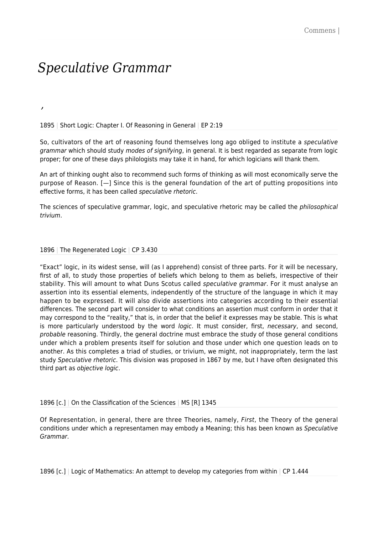# *Speculative Grammar*

*,*

1895 | Short Logic: Chapter I. Of Reasoning in General | EP 2:19

So, cultivators of the art of reasoning found themselves long ago obliged to institute a speculative grammar which should study modes of signifying, in general. It is best regarded as separate from logic proper; for one of these days philologists may take it in hand, for which logicians will thank them.

An art of thinking ought also to recommend such forms of thinking as will most economically serve the purpose of Reason. [—] Since this is the general foundation of the art of putting propositions into effective forms, it has been called speculative rhetoric.

The sciences of speculative grammar, logic, and speculative rhetoric may be called the philosophical trivium.

#### 1896 | The Regenerated Logic | CP 3.430

"Exact" logic, in its widest sense, will (as I apprehend) consist of three parts. For it will be necessary, first of all, to study those properties of beliefs which belong to them as beliefs, irrespective of their stability. This will amount to what Duns Scotus called speculative grammar. For it must analyse an assertion into its essential elements, independently of the structure of the language in which it may happen to be expressed. It will also divide assertions into categories according to their essential differences. The second part will consider to what conditions an assertion must conform in order that it may correspond to the "reality," that is, in order that the belief it expresses may be stable. This is what is more particularly understood by the word *logic*. It must consider, first, necessary, and second, probable reasoning. Thirdly, the general doctrine must embrace the study of those general conditions under which a problem presents itself for solution and those under which one question leads on to another. As this completes a triad of studies, or trivium, we might, not inappropriately, term the last study Speculative rhetoric. This division was proposed in 1867 by me, but I have often designated this third part as objective logic.

## 1896 [c.] | On the Classification of the Sciences | MS [R] 1345

Of Representation, in general, there are three Theories, namely, First, the Theory of the general conditions under which a representamen may embody a Meaning; this has been known as Speculative Grammar.

1896 [c.] Logic of Mathematics: An attempt to develop my categories from within  $\vert$  CP 1.444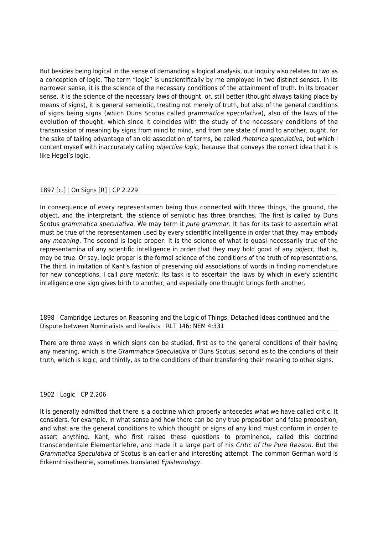But besides being logical in the sense of demanding a logical analysis, our inquiry also relates to two as a conception of logic. The term "logic" is unscientifically by me employed in two distinct senses. In its narrower sense, it is the science of the necessary conditions of the attainment of truth. In its broader sense, it is the science of the necessary laws of thought, or, still better (thought always taking place by means of signs), it is general semeiotic, treating not merely of truth, but also of the general conditions of signs being signs (which Duns Scotus called grammatica speculativa), also of the laws of the evolution of thought, which since it coincides with the study of the necessary conditions of the transmission of meaning by signs from mind to mind, and from one state of mind to another, ought, for the sake of taking advantage of an old association of terms, be called *rhetorica speculativa*, but which I content myself with inaccurately calling objective logic, because that conveys the correct idea that it is like Hegel's logic.

# 1897 [c.] | On Signs [R] | CP 2.229

In consequence of every representamen being thus connected with three things, the ground, the object, and the interpretant, the science of semiotic has three branches. The first is called by Duns Scotus grammatica speculativa. We may term it pure grammar. It has for its task to ascertain what must be true of the representamen used by every scientific intelligence in order that they may embody any meaning. The second is logic proper. It is the science of what is quasi-necessarily true of the representamina of any scientific intelligence in order that they may hold good of any object, that is, may be true. Or say, logic proper is the formal science of the conditions of the truth of representations. The third, in imitation of Kant's fashion of preserving old associations of words in finding nomenclature for new conceptions, I call pure rhetoric. Its task is to ascertain the laws by which in every scientific intelligence one sign gives birth to another, and especially one thought brings forth another.

1898 | Cambridge Lectures on Reasoning and the Logic of Things: Detached Ideas continued and the Dispute between Nominalists and Realists | RLT 146; NEM 4:331

There are three ways in which signs can be studied, first as to the general conditions of their having any meaning, which is the Grammatica Speculativa of Duns Scotus, second as to the condions of their truth, which is logic, and thirdly, as to the conditions of their transferring their meaning to other signs.

## 1902 | Logic | CP 2.206

It is generally admitted that there is a doctrine which properly antecedes what we have called critic. It considers, for example, in what sense and how there can be any true proposition and false proposition, and what are the general conditions to which thought or signs of any kind must conform in order to assert anything. Kant, who first raised these questions to prominence, called this doctrine transcendentale Elementarlehre, and made it a large part of his Critic of the Pure Reason. But the Grammatica Speculativa of Scotus is an earlier and interesting attempt. The common German word is Erkenntnisstheorie, sometimes translated Epistemology.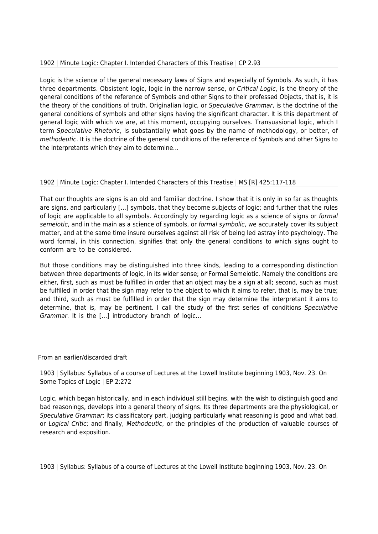## 1902 | Minute Logic: Chapter I. Intended Characters of this Treatise | CP 2.93

Logic is the science of the general necessary laws of Signs and especially of Symbols. As such, it has three departments. Obsistent logic, logic in the narrow sense, or Critical Logic, is the theory of the general conditions of the reference of Symbols and other Signs to their professed Objects, that is, it is the theory of the conditions of truth. Originalian logic, or Speculative Grammar, is the doctrine of the general conditions of symbols and other signs having the significant character. It is this department of general logic with which we are, at this moment, occupying ourselves. Transuasional logic, which I term Speculative Rhetoric, is substantially what goes by the name of methodology, or better, of methodeutic. It is the doctrine of the general conditions of the reference of Symbols and other Signs to the Interpretants which they aim to determine…

# 1902 | Minute Logic: Chapter I. Intended Characters of this Treatise | MS [R] 425:117-118

That our thoughts are signs is an old and familiar doctrine. I show that it is only in so far as thoughts are signs, and particularly […] symbols, that they become subjects of logic; and further that the rules of logic are applicable to all symbols. Accordingly by regarding logic as a science of signs or formal semeiotic, and in the main as a science of symbols, or formal symbolic, we accurately cover its subject matter, and at the same time insure ourselves against all risk of being led astray into psychology. The word formal, in this connection, signifies that only the general conditions to which signs ought to conform are to be considered.

But those conditions may be distinguished into three kinds, leading to a corresponding distinction between three departments of logic, in its wider sense; or Formal Semeiotic. Namely the conditions are either, first, such as must be fulfilled in order that an object may be a sign at all; second, such as must be fulfilled in order that the sign may refer to the object to which it aims to refer, that is, may be true; and third, such as must be fulfilled in order that the sign may determine the interpretant it aims to determine, that is, may be pertinent. I call the study of the first series of conditions Speculative Grammar. It is the […] introductory branch of logic…

## From an earlier/discarded draft

1903 | Syllabus: Syllabus of a course of Lectures at the Lowell Institute beginning 1903, Nov. 23. On Some Topics of Logic | EP 2:272

Logic, which began historically, and in each individual still begins, with the wish to distinguish good and bad reasonings, develops into a general theory of signs. Its three departments are the physiological, or Speculative Grammar; its classificatory part, judging particularly what reasoning is good and what bad, or Logical Critic; and finally, Methodeutic, or the principles of the production of valuable courses of research and exposition.

1903 | Syllabus: Syllabus of a course of Lectures at the Lowell Institute beginning 1903, Nov. 23. On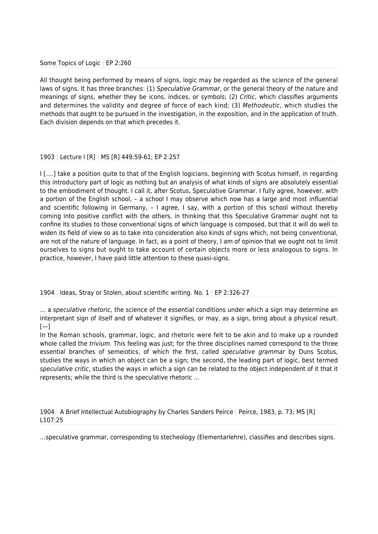Some Topics of Logic | EP 2:260

All thought being performed by means of signs, logic may be regarded as the science of the general laws of signs. It has three branches: (1) Speculative Grammar, or the general theory of the nature and meanings of signs, whether they be icons, indices, or symbols; (2) Critic, which classifies arguments and determines the validity and degree of force of each kind; (3) Methodeutic, which studies the methods that ought to be pursued in the investigation, in the exposition, and in the application of truth. Each division depends on that which precedes it.

## 1903 | Lecture I [R] | MS [R] 449:59-61; EP 2:257

I [….] take a position quite to that of the English logicians, beginning with Scotus himself, in regarding this introductory part of logic as nothing but an analysis of what kinds of signs are absolutely essential to the embodiment of thought. I call it, after Scotus, Speculative Grammar. I fully agree, however, with a portion of the English school, – a school I may observe which now has a large and most influential and scientific following in Germany, – I agree, I say, with a portion of this school without thereby coming into positive conflict with the others, in thinking that this Speculative Grammar ought not to confine its studies to those conventional signs of which language is composed, but that it will do well to widen its field of view so as to take into consideration also kinds of signs which, not being conventional, are not of the nature of language. In fact, as a point of theory, I am of opinion that we ought not to limit ourselves to signs but ought to take account of certain objects more or less analogous to signs. In practice, however, I have paid little attention to these quasi-signs.

## 1904 | Ideas, Stray or Stolen, about scientific writing. No. 1 | EP 2:326-27

... a speculative rhetoric, the science of the essential conditions under which a sign may determine an interpretant sign of itself and of whatever it signifies, or may, as a sign, bring about a physical result.  $[-]$ 

In the Roman schools, grammar, logic, and rhetoric were felt to be akin and to make up a rounded whole called the *trivium*. This feeling was just; for the three disciplines named correspond to the three essential branches of semeiotics, of which the first, called speculative grammar by Duns Scotus, studies the ways in which an object can be a sign; the second, the leading part of logic, best termed speculative critic, studies the ways in which a sign can be related to the object independent of it that it represents; while the third is the speculative rhetoric …

1904 | A Brief Intellectual Autobiography by Charles Sanders Peirce | Peirce, 1983, p. 73; MS [R] L107:25

…speculative grammar, corresponding to stecheology (Elementarlehre), classifies and describes signs.